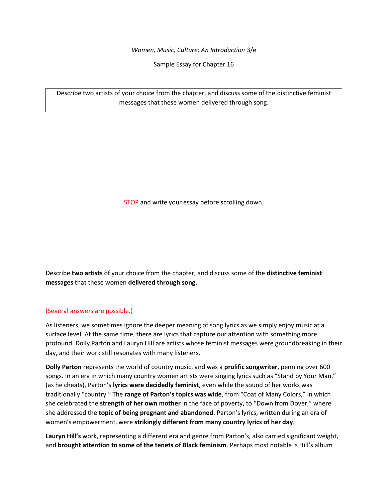*Women, Music, Culture: An Introduction* 3/e

Sample Essay for Chapter 16

Describe two artists of your choice from the chapter, and discuss some of the distinctive feminist messages that these women delivered through song.

STOP and write your essay before scrolling down.

Describe **two artists** of your choice from the chapter, and discuss some of the **distinctive feminist messages** that these women **delivered through song**.

## (Several answers are possible.)

As listeners, we sometimes ignore the deeper meaning of song lyrics as we simply enjoy music at a surface level. At the same time, there are lyrics that capture our attention with something more profound. Dolly Parton and Lauryn Hill are artists whose feminist messages were groundbreaking in their day, and their work still resonates with many listeners.

**Dolly Parton** represents the world of country music, and was a **prolific songwriter**, penning over 600 songs. In an era in which many country women artists were singing lyrics such as "Stand by Your Man," (as he cheats), Parton's **lyrics were decidedly feminist**, even while the sound of her works was traditionally "country." The **range of Parton's topics was wide**, from "Coat of Many Colors," in which she celebrated the **strength of her own mother** in the face of poverty, to "Down from Dover," where she addressed the **topic of being pregnant and abandoned**. Parton's lyrics, written during an era of women's empowerment, were **strikingly different from many country lyrics of her day**.

**Lauryn Hill's** work, representing a different era and genre from Parton's, also carried significant weight, and **brought attention to some of the tenets of Black feminism**. Perhaps most notable is Hill's album